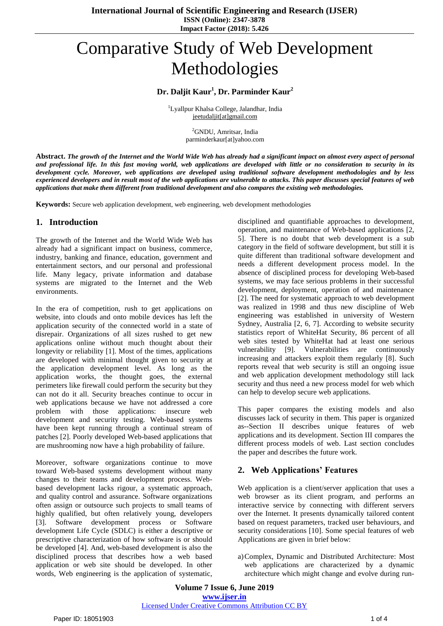# Comparative Study of Web Development Methodologies

# **Dr. Daljit Kaur<sup>1</sup> , Dr. Parminder Kaur<sup>2</sup>**

<sup>1</sup>Lyallpur Khalsa College, Jalandhar, India [jeetudaljit\[at\]gmail.com](mailto:jeetudaljit@gmail.com)

> <sup>2</sup>GNDU, Amritsar, India parminderkaur[at]yahoo.com

Abstract. The growth of the Internet and the World Wide Web has already had a significant impact on almost every aspect of personal and professional life. In this fast moving world, web applications are developed with little or no consideration to security in its *development cycle. Moreover, web applications are developed using traditional software development methodologies and by less* experienced developers and in result most of the web applications are vulnerable to attacks. This paper discusses special features of web *applications that make them different from traditional development and also compares the existing web methodologies.*

**Keywords:** Secure web application development, web engineering, web development methodologies

## **1. Introduction**

The growth of the Internet and the World Wide Web has already had a significant impact on business, commerce, industry, banking and finance, education, government and entertainment sectors, and our personal and professional life. Many legacy, private information and database systems are migrated to the Internet and the Web environments.

In the era of competition, rush to get applications on website, into clouds and onto mobile devices has left the application security of the connected world in a state of disrepair. Organizations of all sizes rushed to get new applications online without much thought about their longevity or reliability [1]. Most of the times, applications are developed with minimal thought given to security at the application development level. As long as the application works, the thought goes, the external perimeters like firewall could perform the security but they can not do it all. Security breaches continue to occur in web applications because we have not addressed a core problem with those applications: insecure web development and security testing. Web-based systems have been kept running through a continual stream of patches [2]. Poorly developed Web-based applications that are mushrooming now have a high probability of failure.

Moreover, software organizations continue to move toward Web-based systems development without many changes to their teams and development process. Webbased development lacks rigour, a systematic approach, and quality control and assurance. Software organizations often assign or outsource such projects to small teams of highly qualified, but often relatively young, developers [3]. Software development process or Software development Life Cycle (SDLC) is either a descriptive or prescriptive characterization of how software is or should be developed [4]. And, web-based development is also the disciplined process that describes how a web based application or web site should be developed. In other words, Web engineering is the application of systematic,

disciplined and quantifiable approaches to development, operation, and maintenance of Web-based applications [2, 5]. There is no doubt that web development is a sub category in the field of software development, but still it is quite different than traditional software development and needs a different development process model. In the absence of disciplined process for developing Web-based systems, we may face serious problems in their successful development, deployment, operation of and maintenance [2]. The need for systematic approach to web development was realized in 1998 and thus new discipline of Web engineering was established in university of Western Sydney, Australia [2, 6, 7]. According to website security statistics report of WhiteHat Security, 86 percent of all web sites tested by WhiteHat had at least one serious vulnerability [9]. Vulnerabilities are continuously increasing and attackers exploit them regularly [8]. Such reports reveal that web security is still an ongoing issue and web application development methodology still lack security and thus need a new process model for web which can help to develop secure web applications.

This paper compares the existing models and also discusses lack of security in them. This paper is organized as--Section II describes unique features of web applications and its development. Section III compares the different process models of web. Last section concludes the paper and describes the future work.

## **2. Web Applications' Features**

Web application is a client/server application that uses a web browser as its client program, and performs an interactive service by connecting with different servers over the Internet. It presents dynamically tailored content based on request parameters, tracked user behaviours, and security considerations [10]. Some special features of web Applications are given in brief below:

a)Complex, Dynamic and Distributed Architecture: Most web applications are characterized by a dynamic architecture which might change and evolve during run-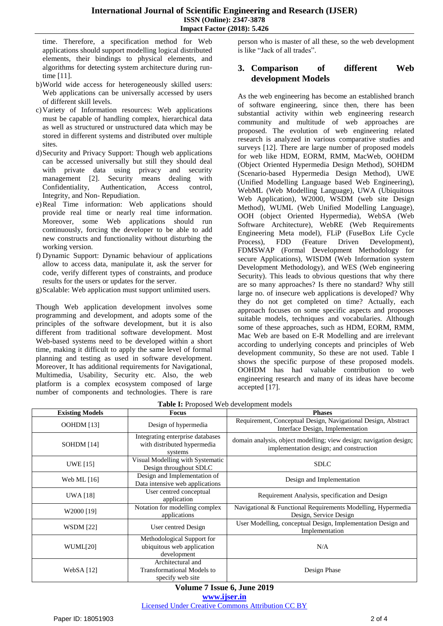time. Therefore, a specification method for Web applications should support modelling logical distributed elements, their bindings to physical elements, and algorithms for detecting system architecture during runtime [11].

- b)World wide access for heterogeneously skilled users: Web applications can be universally accessed by users of different skill levels.
- c)Variety of Information resources: Web applications must be capable of handling complex, hierarchical data as well as structured or unstructured data which may be stored in different systems and distributed over multiple sites.
- d)Security and Privacy Support: Though web applications can be accessed universally but still they should deal with private data using privacy and security management [2]. Security means dealing with Confidentiality, Authentication, Access control, Integrity, and Non- Repudiation.
- e)Real Time information: Web applications should provide real time or nearly real time information. Moreover, some Web applications should run continuously, forcing the developer to be able to add new constructs and functionality without disturbing the working version.
- f) Dynamic Support: Dynamic behaviour of applications allow to access data, manipulate it, ask the server for code, verify different types of constraints, and produce results for the users or updates for the server.
- g)Scalable: Web application must support unlimited users.

Though Web application development involves some programming and development, and adopts some of the principles of the software development, but it is also different from traditional software development. Most Web-based systems need to be developed within a short time, making it difficult to apply the same level of formal planning and testing as used in software development. Moreover, It has additional requirements for Navigational, Multimedia, Usability, Security etc. Also, the web platform is a complex ecosystem composed of large number of components and technologies. There is rare person who is master of all these, so the web development is like "Jack of all trades".

## **3. Comparison of different Web development Models**

As the web engineering has become an established branch of software engineering, since then, there has been substantial activity within web engineering research community and multitude of web approaches are proposed. The evolution of web engineering related research is analyzed in various comparative studies and surveys [12]. There are large number of proposed models for web like HDM, EORM, RMM, MacWeb, OOHDM (Object Oriented Hypermedia Design Method), SOHDM (Scenario-based Hypermedia Design Method), UWE (Unified Modelling Language based Web Engineering), WebML (Web Modelling Language), UWA (Ubiquitous Web Application), W2000, WSDM (web site Design Method), WUML (Web Unified Modelling Language), OOH (object Oriented Hypermedia), WebSA (Web Software Architecture), WebRE (Web Requirements Engineering Meta model), FLiP (FuseBox Life Cycle Process), FDD (Feature Driven Development), FDMSWAP (Formal Development Methodology for secure Applications), WISDM (Web Information system Development Methodology), and WES (Web engineering Security). This leads to obvious questions that why there are so many approaches? Is there no standard? Why still large no. of insecure web applications is developed? Why they do not get completed on time? Actually, each approach focuses on some specific aspects and proposes suitable models, techniques and vocabularies. Although some of these approaches, such as HDM, EORM, RMM, Mac Web are based on E-R Modelling and are irrelevant according to underlying concepts and principles of Web development community, So these are not used. Table I shows the specific purpose of these proposed models. OOHDM has had valuable contribution to web engineering research and many of its ideas have become accepted [17].

| <b>EXAMPLE 11 10 poster</b> $\theta$ to the complete models |                                                                            |                                                                                                               |  |  |  |  |  |  |
|-------------------------------------------------------------|----------------------------------------------------------------------------|---------------------------------------------------------------------------------------------------------------|--|--|--|--|--|--|
| <b>Existing Models</b>                                      | <b>Focus</b>                                                               | <b>Phases</b>                                                                                                 |  |  |  |  |  |  |
| <b>OOHDM</b> [13]                                           | Design of hypermedia                                                       | Requirement, Conceptual Design, Navigational Design, Abstract<br>Interface Design, Implementation             |  |  |  |  |  |  |
| SOHDM [14]                                                  | Integrating enterprise databases<br>with distributed hypermedia<br>systems | domain analysis, object modelling; view design; navigation design;<br>implementation design; and construction |  |  |  |  |  |  |
| <b>UWE</b> [15]                                             | Visual Modelling with Systematic<br>Design throughout SDLC                 | <b>SDLC</b>                                                                                                   |  |  |  |  |  |  |
| Web ML [16]                                                 | Design and Implementation of<br>Data intensive web applications            | Design and Implementation                                                                                     |  |  |  |  |  |  |
| <b>UWA</b> [18]                                             | User centred conceptual<br>application                                     | Requirement Analysis, specification and Design                                                                |  |  |  |  |  |  |
| W2000 [19]                                                  | Notation for modelling complex<br>applications                             | Navigational & Functional Requirements Modelling, Hypermedia<br>Design, Service Design                        |  |  |  |  |  |  |
| <b>WSDM</b> [22]                                            | User centred Design                                                        | User Modelling, conceptual Design, Implementation Design and<br>Implementation                                |  |  |  |  |  |  |
| WUML[20]                                                    | Methodological Support for<br>ubiquitous web application<br>development    | N/A                                                                                                           |  |  |  |  |  |  |
| WebSA $[12]$                                                | Architectural and<br>Transformational Models to<br>specify web site        | Design Phase                                                                                                  |  |  |  |  |  |  |

#### **Table I:** Proposed Web development models

**Volume 7 Issue 6, June 2019 www.ijser.in** Licensed Under Creative Commons Attribution CC BY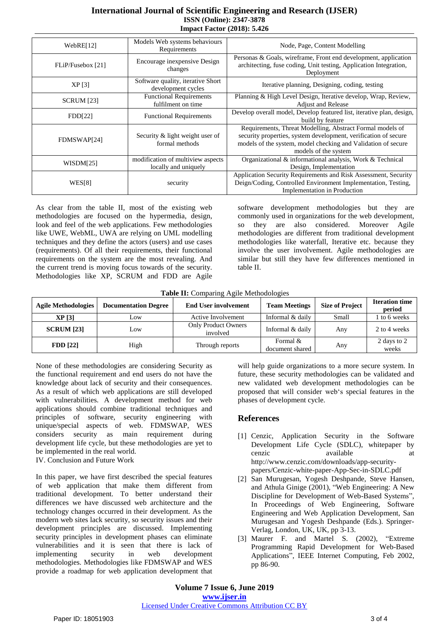## **International Journal of Scientific Engineering and Research (IJSER) ISSN (Online): 2347-3878 Impact Factor (2018): 5.426**

| WebRE[12]         | Models Web systems behaviours<br>Requirements             | Node, Page, Content Modelling                                                                                                                                                                                         |  |
|-------------------|-----------------------------------------------------------|-----------------------------------------------------------------------------------------------------------------------------------------------------------------------------------------------------------------------|--|
| FLiP/Fusebox [21] | Encourage in expensive Design<br>changes                  | Personas & Goals, wireframe, Front end development, application<br>architecting, fuse coding, Unit testing, Application Integration,<br>Deployment                                                                    |  |
| XP[3]             | Software quality, iterative Short<br>development cycles   | Iterative planning, Designing, coding, testing                                                                                                                                                                        |  |
| <b>SCRUM</b> [23] | <b>Functional Requirements</b><br>fulfilment on time      | Planning & High Level Design, Iterative develop, Wrap, Review,<br><b>Adjust and Release</b>                                                                                                                           |  |
| FDD[22]           | <b>Functional Requirements</b>                            | Develop overall model, Develop featured list, iterative plan, design,<br>build by feature                                                                                                                             |  |
| FDMSWAP[24]       | Security & light weight user of<br>formal methods         | Requirements, Threat Modelling, Abstract Formal models of<br>security properties, system development, verification of secure<br>models of the system, model checking and Validation of secure<br>models of the system |  |
| WISDM[25]         | modification of multiview aspects<br>locally and uniquely | Organizational & informational analysis, Work & Technical<br>Design, Implementation                                                                                                                                   |  |
| WES[8]            | security                                                  | Application Security Requirements and Risk Assessment, Security<br>Deign/Coding, Controlled Environment Implementation, Testing,<br>Implementation in Production                                                      |  |

As clear from the table II, most of the existing web methodologies are focused on the hypermedia, design, look and feel of the web applications. Few methodologies like UWE, WebML, UWA are relying on UML modelling techniques and they define the actors (users) and use cases (requirements). Of all their requirements, their functional requirements on the system are the most revealing. And the current trend is moving focus towards of the security. Methodologies like XP, SCRUM and FDD are Agile

software development methodologies but they are commonly used in organizations for the web development, so they are also considered. Moreover Agile methodologies are different from traditional development methodologies like waterfall, Iterative etc. because they involve the user involvement. Agile methodologies are similar but still they have few differences mentioned in table II.

|  | Table II: Comparing Agile Methodologies |  |
|--|-----------------------------------------|--|
|  |                                         |  |

| <b>Agile Methodologies</b> | <b>Documentation Degree</b> | <b>End User involvement</b>            | <b>Team Meetings</b>        | <b>Size of Project</b> | <b>Iteration time</b><br>period |
|----------------------------|-----------------------------|----------------------------------------|-----------------------------|------------------------|---------------------------------|
| XP[3]                      | Low                         | Active Involvement                     | Informal & daily            | Small                  | to 6 weeks                      |
| <b>SCRUM [23]</b>          | Low                         | <b>Only Product Owners</b><br>involved | Informal & daily            | Any                    | 2 to 4 weeks                    |
| <b>FDD</b> [22]            | High                        | Through reports                        | Formal &<br>document shared | Any                    | 2 days to 2<br>weeks            |

None of these methodologies are considering Security as the functional requirement and end users do not have the knowledge about lack of security and their consequences. As a result of which web applications are still developed with vulnerabilities. A development method for web applications should combine traditional techniques and principles of software, security engineering with unique/special aspects of web. FDMSWAP, WES considers security as main requirement during development life cycle, but these methodologies are yet to be implemented in the real world.

IV. Conclusion and Future Work

In this paper, we have first described the special features of web application that make them different from traditional development. To better understand their differences we have discussed web architecture and the technology changes occurred in their development. As the modern web sites lack security, so security issues and their development principles are discussed. Implementing security principles in development phases can eliminate vulnerabilities and it is seen that there is lack of implementing security in web development methodologies. Methodologies like FDMSWAP and WES provide a roadmap for web application development that

will help guide organizations to a more secure system. In future, these security methodologies can be validated and new validated web development methodologies can be proposed that will consider web"s special features in the phases of development cycle.

## **References**

- [1] Cenzic, Application Security in the Software Development Life Cycle (SDLC), whitepaper by cenzic available at http://www.cenzic.com/downloads/app-securitypapers/Cenzic-white-paper-App-Sec-in-SDLC.pdf
- [2] San Murugesan, Yogesh Deshpande, Steve Hansen, and Athula Ginige (2001), "Web Engineering: A New Discipline for Development of Web-Based Systems", In Proceedings of Web Engineering, Software Engineering and Web Application Development, San Murugesan and Yogesh Deshpande (Eds.). Springer-Verlag, London, UK, UK, pp 3-13.
- [3] Maurer F. and Martel S. (2002), "Extreme Programming Rapid Development for Web-Based Applications", IEEE Internet Computing, Feb 2002, pp 86-90.

**Volume 7 Issue 6, June 2019 www.ijser.in** Licensed Under Creative Commons Attribution CC BY